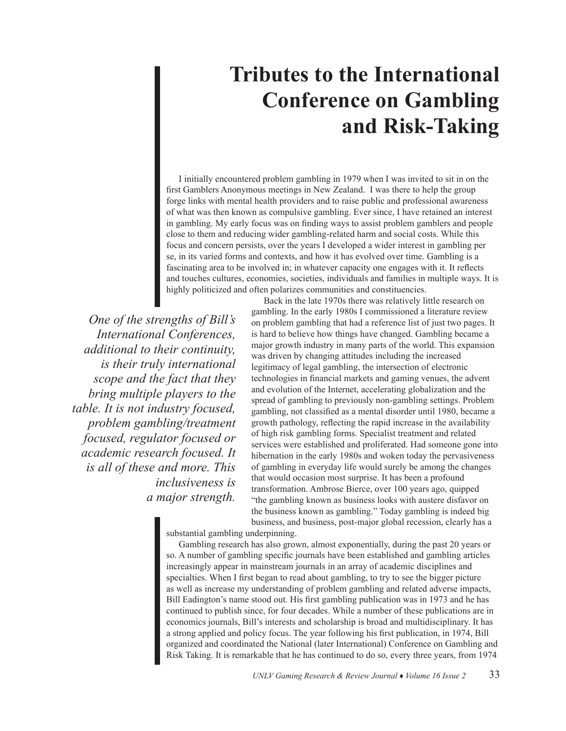## **Tributes to the International Conference on Gambling and Risk-Taking**

I initially encountered problem gambling in 1979 when I was invited to sit in on the first Gamblers Anonymous meetings in New Zealand. I was there to help the group forge links with mental health providers and to raise public and professional awareness of what was then known as compulsive gambling. Ever since, I have retained an interest in gambling. My early focus was on finding ways to assist problem gamblers and people close to them and reducing wider gambling-related harm and social costs. While this focus and concern persists, over the years I developed a wider interest in gambling per se, in its varied forms and contexts, and how it has evolved over time. Gambling is a fascinating area to be involved in; in whatever capacity one engages with it. It reflects and touches cultures, economies, societies, individuals and families in multiple ways. It is highly politicized and often polarizes communities and constituencies.

*One of the strengths of Bill's International Conferences, additional to their continuity, is their truly international scope and the fact that they bring multiple players to the table. It is not industry focused, problem gambling/treatment focused, regulator focused or academic research focused. It is all of these and more. This inclusiveness is a major strength.*

Back in the late 1970s there was relatively little research on gambling. In the early 1980s I commissioned a literature review on problem gambling that had a reference list of just two pages. It is hard to believe how things have changed. Gambling became a major growth industry in many parts of the world. This expansion was driven by changing attitudes including the increased legitimacy of legal gambling, the intersection of electronic technologies in financial markets and gaming venues, the advent and evolution of the Internet, accelerating globalization and the spread of gambling to previously non-gambling settings. Problem gambling, not classified as a mental disorder until 1980, became a growth pathology, reflecting the rapid increase in the availability of high risk gambling forms. Specialist treatment and related services were established and proliferated. Had someone gone into hibernation in the early 1980s and woken today the pervasiveness of gambling in everyday life would surely be among the changes that would occasion most surprise. It has been a profound transformation. Ambrose Bierce, over 100 years ago, quipped "the gambling known as business looks with austere disfavor on the business known as gambling." Today gambling is indeed big business, and business, post-major global recession, clearly has a

substantial gambling underpinning.

Gambling research has also grown, almost exponentially, during the past 20 years or so. A number of gambling specific journals have been established and gambling articles increasingly appear in mainstream journals in an array of academic disciplines and specialties. When I first began to read about gambling, to try to see the bigger picture as well as increase my understanding of problem gambling and related adverse impacts, Bill Eadington's name stood out. His first gambling publication was in 1973 and he has continued to publish since, for four decades. While a number of these publications are in economics journals, Bill's interests and scholarship is broad and multidisciplinary. It has a strong applied and policy focus. The year following his first publication, in 1974, Bill organized and coordinated the National (later International) Conference on Gambling and Risk Taking. It is remarkable that he has continued to do so, every three years, from 1974